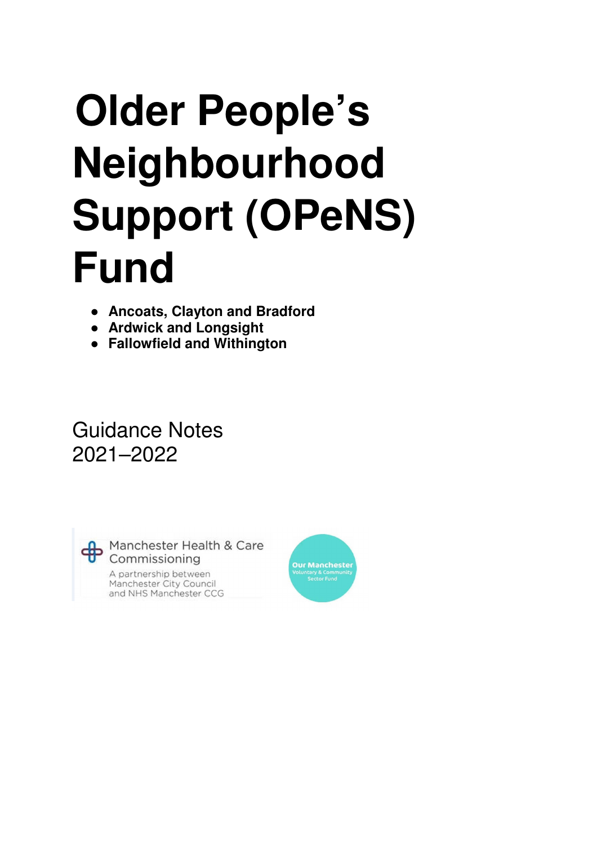# **Older People's Neighbourhood Support (OPeNS) Fund**

- **Ancoats, Clayton and Bradford**
- **Ardwick and Longsight**
- **Fallowfield and Withington**

Guidance Notes 2021–2022

Manchester Health & Care Commissioning A partnership between Manchester City Council and NHS Manchester CCG

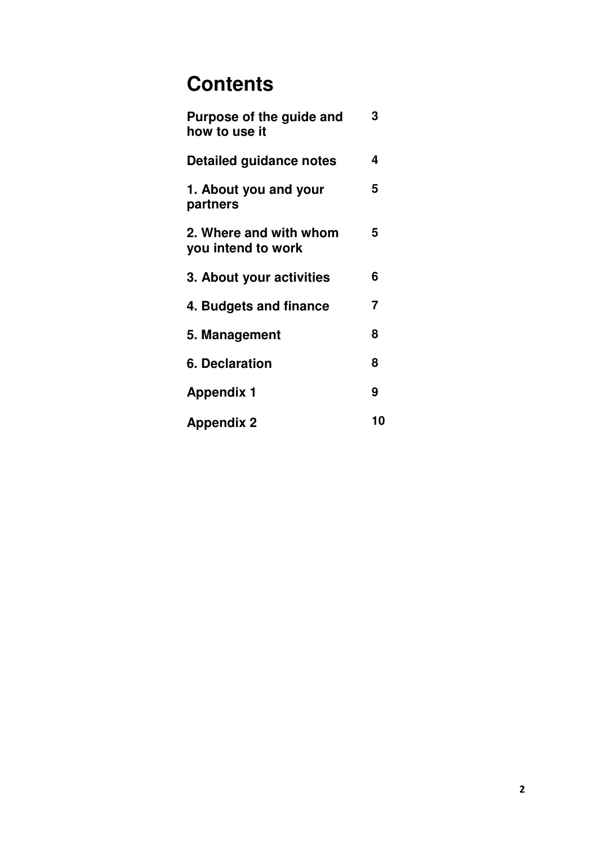# **Contents**

| Purpose of the guide and<br>how to use it    | 3  |
|----------------------------------------------|----|
| Detailed guidance notes                      | 4  |
| 1. About you and your<br>partners            | 5  |
| 2. Where and with whom<br>you intend to work | 5  |
| 3. About your activities                     | 6  |
| 4. Budgets and finance                       | 7  |
| 5. Management                                | 8  |
| 6. Declaration                               | 8  |
| <b>Appendix 1</b>                            | 9  |
| <b>Appendix 2</b>                            | 10 |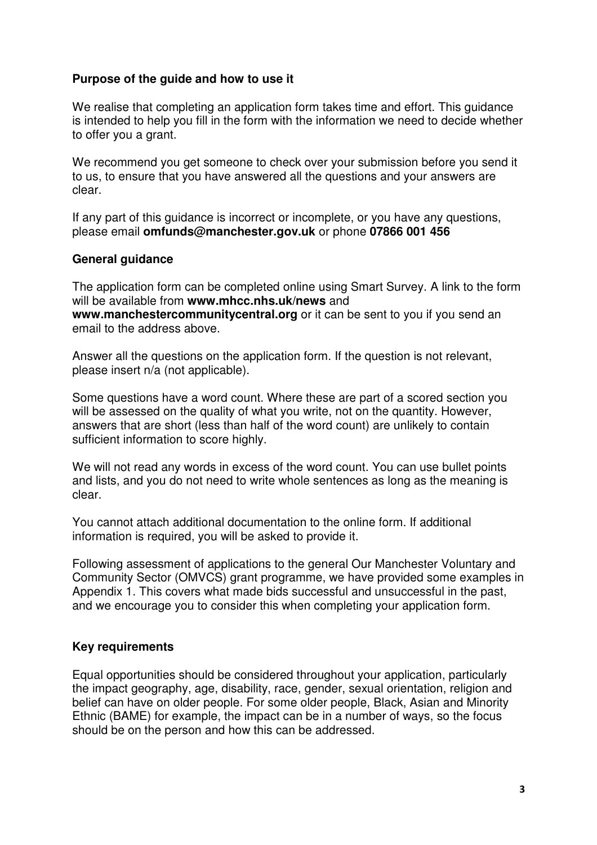#### **Purpose of the guide and how to use it**

We realise that completing an application form takes time and effort. This guidance is intended to help you fill in the form with the information we need to decide whether to offer you a grant.

We recommend you get someone to check over your submission before you send it to us, to ensure that you have answered all the questions and your answers are clear.

If any part of this guidance is incorrect or incomplete, or you have any questions, please email **omfunds@manchester.gov.uk** or phone **07866 001 456**

#### **General guidance**

The application form can be completed online using Smart Survey. A link to the form will be available from **www.mhcc.nhs.uk/news** and **www.manchestercommunitycentral.org** or it can be sent to you if you send an email to the address above.

Answer all the questions on the application form. If the question is not relevant, please insert n/a (not applicable).

Some questions have a word count. Where these are part of a scored section you will be assessed on the quality of what you write, not on the quantity. However, answers that are short (less than half of the word count) are unlikely to contain sufficient information to score highly.

We will not read any words in excess of the word count. You can use bullet points and lists, and you do not need to write whole sentences as long as the meaning is clear.

You cannot attach additional documentation to the online form. If additional information is required, you will be asked to provide it.

Following assessment of applications to the general Our Manchester Voluntary and Community Sector (OMVCS) grant programme, we have provided some examples in Appendix 1. This covers what made bids successful and unsuccessful in the past, and we encourage you to consider this when completing your application form.

#### **Key requirements**

Equal opportunities should be considered throughout your application, particularly the impact geography, age, disability, race, gender, sexual orientation, religion and belief can have on older people. For some older people, Black, Asian and Minority Ethnic (BAME) for example, the impact can be in a number of ways, so the focus should be on the person and how this can be addressed.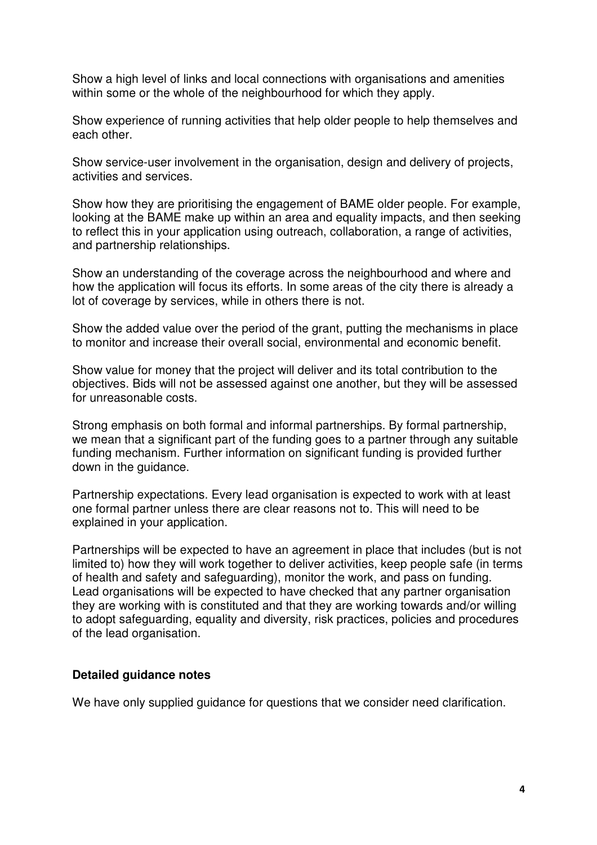Show a high level of links and local connections with organisations and amenities within some or the whole of the neighbourhood for which they apply.

Show experience of running activities that help older people to help themselves and each other.

Show service-user involvement in the organisation, design and delivery of projects, activities and services.

Show how they are prioritising the engagement of BAME older people. For example, looking at the BAME make up within an area and equality impacts, and then seeking to reflect this in your application using outreach, collaboration, a range of activities, and partnership relationships.

Show an understanding of the coverage across the neighbourhood and where and how the application will focus its efforts. In some areas of the city there is already a lot of coverage by services, while in others there is not.

Show the added value over the period of the grant, putting the mechanisms in place to monitor and increase their overall social, environmental and economic benefit.

Show value for money that the project will deliver and its total contribution to the objectives. Bids will not be assessed against one another, but they will be assessed for unreasonable costs.

Strong emphasis on both formal and informal partnerships. By formal partnership, we mean that a significant part of the funding goes to a partner through any suitable funding mechanism. Further information on significant funding is provided further down in the guidance.

Partnership expectations. Every lead organisation is expected to work with at least one formal partner unless there are clear reasons not to. This will need to be explained in your application.

Partnerships will be expected to have an agreement in place that includes (but is not limited to) how they will work together to deliver activities, keep people safe (in terms of health and safety and safeguarding), monitor the work, and pass on funding. Lead organisations will be expected to have checked that any partner organisation they are working with is constituted and that they are working towards and/or willing to adopt safeguarding, equality and diversity, risk practices, policies and procedures of the lead organisation.

#### **Detailed guidance notes**

We have only supplied guidance for questions that we consider need clarification.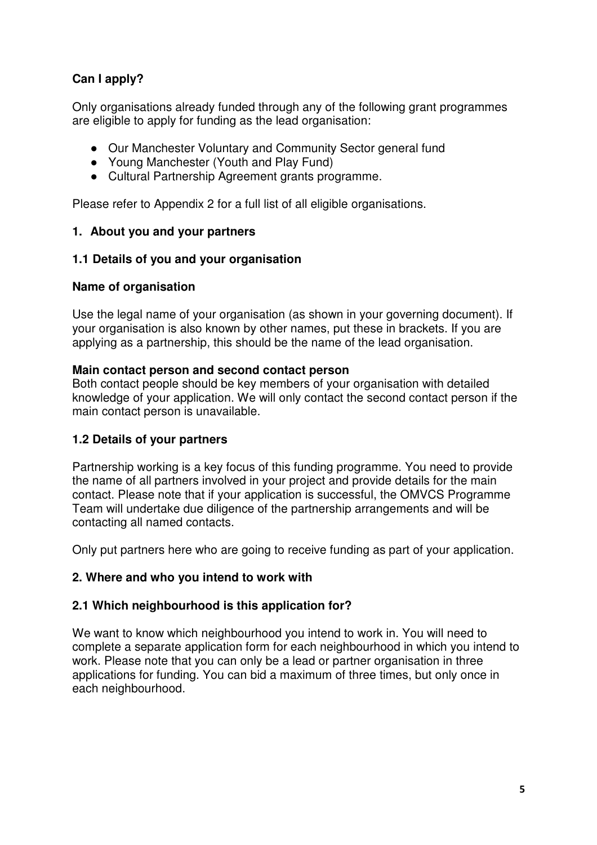# **Can I apply?**

Only organisations already funded through any of the following grant programmes are eligible to apply for funding as the lead organisation:

- Our Manchester Voluntary and Community Sector general fund
- Young Manchester (Youth and Play Fund)
- Cultural Partnership Agreement grants programme.

Please refer to Appendix 2 for a full list of all eligible organisations.

#### **1. About you and your partners**

#### **1.1 Details of you and your organisation**

#### **Name of organisation**

Use the legal name of your organisation (as shown in your governing document). If your organisation is also known by other names, put these in brackets. If you are applying as a partnership, this should be the name of the lead organisation.

#### **Main contact person and second contact person**

Both contact people should be key members of your organisation with detailed knowledge of your application. We will only contact the second contact person if the main contact person is unavailable.

#### **1.2 Details of your partners**

Partnership working is a key focus of this funding programme. You need to provide the name of all partners involved in your project and provide details for the main contact. Please note that if your application is successful, the OMVCS Programme Team will undertake due diligence of the partnership arrangements and will be contacting all named contacts.

Only put partners here who are going to receive funding as part of your application.

#### **2. Where and who you intend to work with**

#### **2.1 Which neighbourhood is this application for?**

We want to know which neighbourhood you intend to work in. You will need to complete a separate application form for each neighbourhood in which you intend to work. Please note that you can only be a lead or partner organisation in three applications for funding. You can bid a maximum of three times, but only once in each neighbourhood.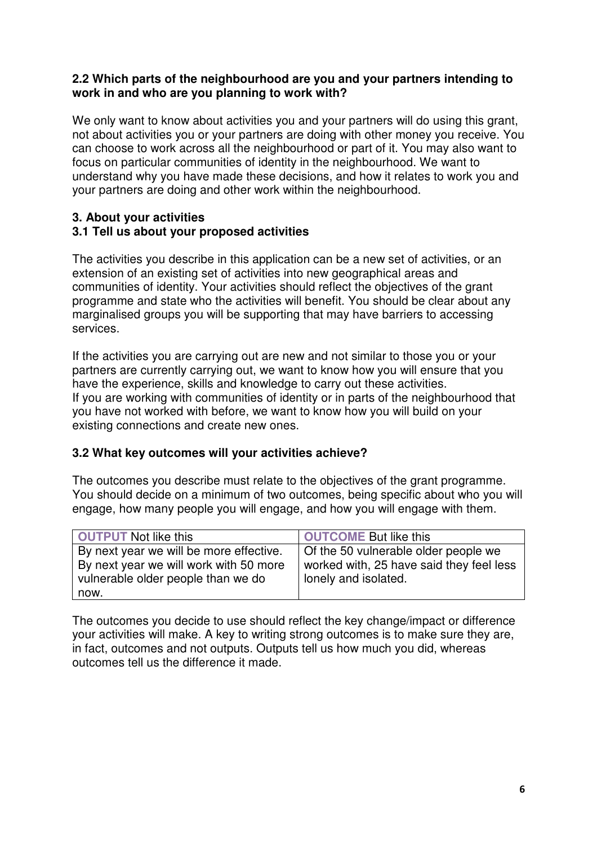#### **2.2 Which parts of the neighbourhood are you and your partners intending to work in and who are you planning to work with?**

We only want to know about activities you and your partners will do using this grant, not about activities you or your partners are doing with other money you receive. You can choose to work across all the neighbourhood or part of it. You may also want to focus on particular communities of identity in the neighbourhood. We want to understand why you have made these decisions, and how it relates to work you and your partners are doing and other work within the neighbourhood.

#### **3. About your activities 3.1 Tell us about your proposed activities**

The activities you describe in this application can be a new set of activities, or an extension of an existing set of activities into new geographical areas and communities of identity. Your activities should reflect the objectives of the grant programme and state who the activities will benefit. You should be clear about any marginalised groups you will be supporting that may have barriers to accessing services.

If the activities you are carrying out are new and not similar to those you or your partners are currently carrying out, we want to know how you will ensure that you have the experience, skills and knowledge to carry out these activities. If you are working with communities of identity or in parts of the neighbourhood that you have not worked with before, we want to know how you will build on your existing connections and create new ones.

### **3.2 What key outcomes will your activities achieve?**

The outcomes you describe must relate to the objectives of the grant programme. You should decide on a minimum of two outcomes, being specific about who you will engage, how many people you will engage, and how you will engage with them.

| <b>OUTPUT</b> Not like this             | OUTCOME But like this                    |
|-----------------------------------------|------------------------------------------|
| By next year we will be more effective. | Of the 50 vulnerable older people we     |
| By next year we will work with 50 more  | worked with, 25 have said they feel less |
| vulnerable older people than we do      | lonely and isolated.                     |
| l now.                                  |                                          |

The outcomes you decide to use should reflect the key change/impact or difference your activities will make. A key to writing strong outcomes is to make sure they are, in fact, outcomes and not outputs. Outputs tell us how much you did, whereas outcomes tell us the difference it made.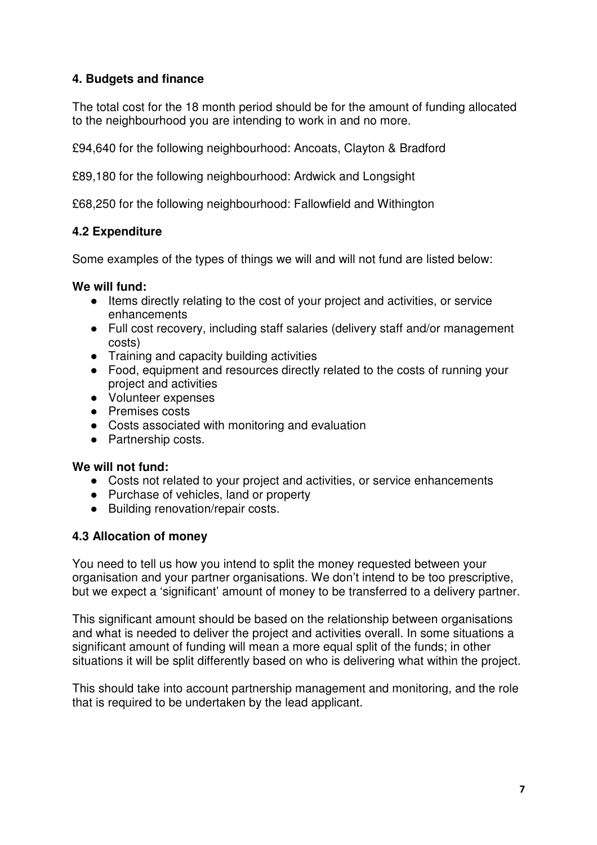#### **4. Budgets and finance**

The total cost for the 18 month period should be for the amount of funding allocated to the neighbourhood you are intending to work in and no more.

£94,640 for the following neighbourhood: Ancoats, Clayton & Bradford

£89,180 for the following neighbourhood: Ardwick and Longsight

£68,250 for the following neighbourhood: Fallowfield and Withington

#### **4.2 Expenditure**

Some examples of the types of things we will and will not fund are listed below:

#### **We will fund:**

- Items directly relating to the cost of your project and activities, or service enhancements
- Full cost recovery, including staff salaries (delivery staff and/or management costs)
- Training and capacity building activities
- Food, equipment and resources directly related to the costs of running your project and activities
- Volunteer expenses
- Premises costs
- Costs associated with monitoring and evaluation
- Partnership costs.

#### **We will not fund:**

- Costs not related to your project and activities, or service enhancements
- Purchase of vehicles, land or property
- Building renovation/repair costs.

#### **4.3 Allocation of money**

You need to tell us how you intend to split the money requested between your organisation and your partner organisations. We don't intend to be too prescriptive, but we expect a 'significant' amount of money to be transferred to a delivery partner.

This significant amount should be based on the relationship between organisations and what is needed to deliver the project and activities overall. In some situations a significant amount of funding will mean a more equal split of the funds; in other situations it will be split differently based on who is delivering what within the project.

This should take into account partnership management and monitoring, and the role that is required to be undertaken by the lead applicant.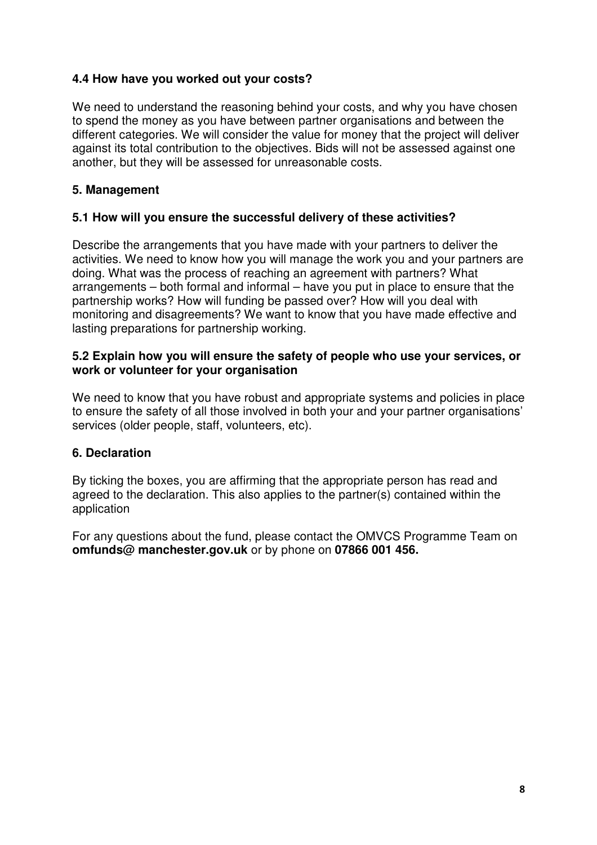#### **4.4 How have you worked out your costs?**

We need to understand the reasoning behind your costs, and why you have chosen to spend the money as you have between partner organisations and between the different categories. We will consider the value for money that the project will deliver against its total contribution to the objectives. Bids will not be assessed against one another, but they will be assessed for unreasonable costs.

#### **5. Management**

#### **5.1 How will you ensure the successful delivery of these activities?**

Describe the arrangements that you have made with your partners to deliver the activities. We need to know how you will manage the work you and your partners are doing. What was the process of reaching an agreement with partners? What arrangements – both formal and informal – have you put in place to ensure that the partnership works? How will funding be passed over? How will you deal with monitoring and disagreements? We want to know that you have made effective and lasting preparations for partnership working.

#### **5.2 Explain how you will ensure the safety of people who use your services, or work or volunteer for your organisation**

We need to know that you have robust and appropriate systems and policies in place to ensure the safety of all those involved in both your and your partner organisations' services (older people, staff, volunteers, etc).

#### **6. Declaration**

By ticking the boxes, you are affirming that the appropriate person has read and agreed to the declaration. This also applies to the partner(s) contained within the application

For any questions about the fund, please contact the OMVCS Programme Team on **omfunds@ manchester.gov.uk** or by phone on **07866 001 456.**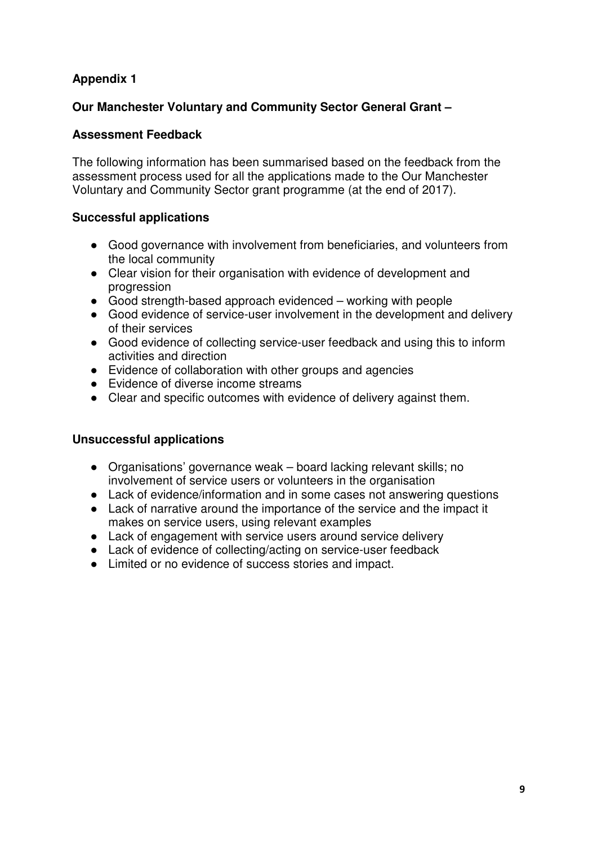# **Appendix 1**

#### **Our Manchester Voluntary and Community Sector General Grant –**

#### **Assessment Feedback**

The following information has been summarised based on the feedback from the assessment process used for all the applications made to the Our Manchester Voluntary and Community Sector grant programme (at the end of 2017).

#### **Successful applications**

- Good governance with involvement from beneficiaries, and volunteers from the local community
- Clear vision for their organisation with evidence of development and progression
- Good strength-based approach evidenced working with people
- Good evidence of service-user involvement in the development and delivery of their services
- Good evidence of collecting service-user feedback and using this to inform activities and direction
- Evidence of collaboration with other groups and agencies
- Evidence of diverse income streams
- Clear and specific outcomes with evidence of delivery against them.

#### **Unsuccessful applications**

- Organisations' governance weak board lacking relevant skills; no involvement of service users or volunteers in the organisation
- Lack of evidence/information and in some cases not answering questions
- Lack of narrative around the importance of the service and the impact it makes on service users, using relevant examples
- Lack of engagement with service users around service delivery
- Lack of evidence of collecting/acting on service-user feedback
- Limited or no evidence of success stories and impact.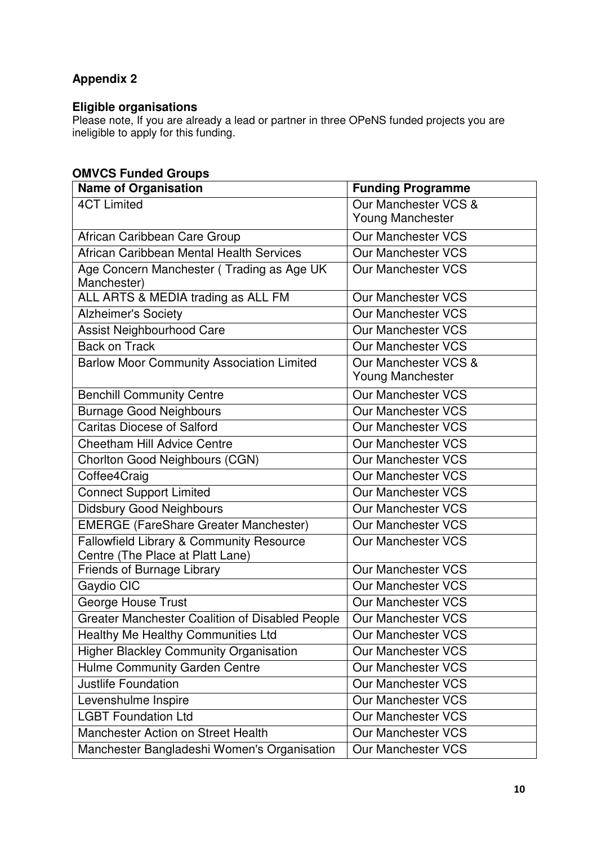# **Appendix 2**

#### **Eligible organisations**

Please note, If you are already a lead or partner in three OPeNS funded projects you are ineligible to apply for this funding.

# **OMVCS Funded Groups**

| <b>Name of Organisation</b>                            | <b>Funding Programme</b>  |
|--------------------------------------------------------|---------------------------|
| <b>4CT Limited</b>                                     | Our Manchester VCS &      |
|                                                        | <b>Young Manchester</b>   |
| African Caribbean Care Group                           | <b>Our Manchester VCS</b> |
| African Caribbean Mental Health Services               | <b>Our Manchester VCS</b> |
| Age Concern Manchester (Trading as Age UK              | <b>Our Manchester VCS</b> |
| Manchester)                                            |                           |
| ALL ARTS & MEDIA trading as ALL FM                     | <b>Our Manchester VCS</b> |
| <b>Alzheimer's Society</b>                             | <b>Our Manchester VCS</b> |
| Assist Neighbourhood Care                              | <b>Our Manchester VCS</b> |
| <b>Back on Track</b>                                   | <b>Our Manchester VCS</b> |
| <b>Barlow Moor Community Association Limited</b>       | Our Manchester VCS &      |
|                                                        | <b>Young Manchester</b>   |
| <b>Benchill Community Centre</b>                       | <b>Our Manchester VCS</b> |
| <b>Burnage Good Neighbours</b>                         | <b>Our Manchester VCS</b> |
| <b>Caritas Diocese of Salford</b>                      | <b>Our Manchester VCS</b> |
| <b>Cheetham Hill Advice Centre</b>                     | <b>Our Manchester VCS</b> |
| Chorlton Good Neighbours (CGN)                         | <b>Our Manchester VCS</b> |
| Coffee4Craig                                           | <b>Our Manchester VCS</b> |
| <b>Connect Support Limited</b>                         | <b>Our Manchester VCS</b> |
| <b>Didsbury Good Neighbours</b>                        | <b>Our Manchester VCS</b> |
| <b>EMERGE (FareShare Greater Manchester)</b>           | <b>Our Manchester VCS</b> |
| Fallowfield Library & Community Resource               | <b>Our Manchester VCS</b> |
| Centre (The Place at Platt Lane)                       |                           |
| <b>Friends of Burnage Library</b>                      | <b>Our Manchester VCS</b> |
| Gaydio CIC                                             | <b>Our Manchester VCS</b> |
| <b>George House Trust</b>                              | <b>Our Manchester VCS</b> |
| <b>Greater Manchester Coalition of Disabled People</b> | <b>Our Manchester VCS</b> |
| Healthy Me Healthy Communities Ltd                     | <b>Our Manchester VCS</b> |
| Higher Blackley Community Organisation                 | <b>Our Manchester VCS</b> |
| Hulme Community Garden Centre                          | <b>Our Manchester VCS</b> |
| <b>Justlife Foundation</b>                             | <b>Our Manchester VCS</b> |
| Levenshulme Inspire                                    | <b>Our Manchester VCS</b> |
| <b>LGBT Foundation Ltd</b>                             | <b>Our Manchester VCS</b> |
| Manchester Action on Street Health                     | <b>Our Manchester VCS</b> |
| Manchester Bangladeshi Women's Organisation            | <b>Our Manchester VCS</b> |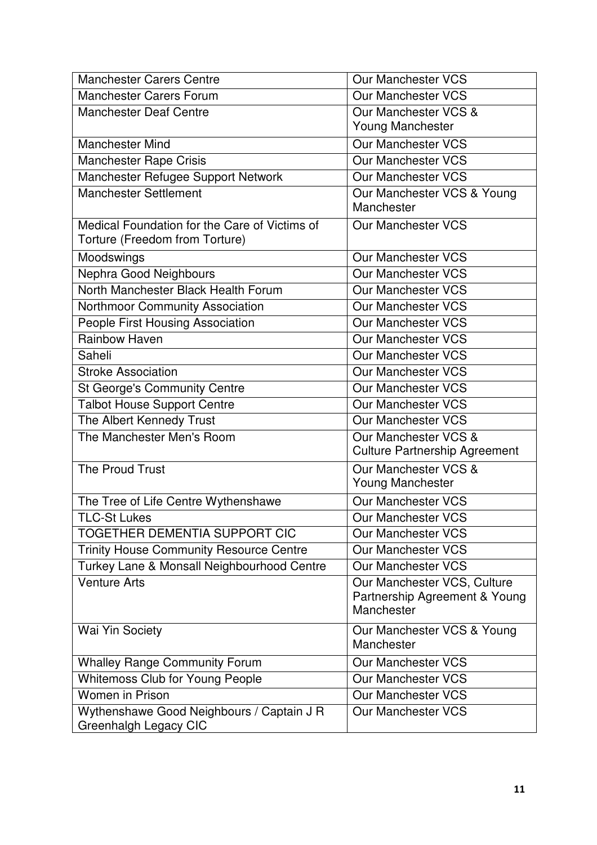| <b>Manchester Carers Centre</b>                | Our Manchester VCS                       |
|------------------------------------------------|------------------------------------------|
| <b>Manchester Carers Forum</b>                 | <b>Our Manchester VCS</b>                |
| <b>Manchester Deaf Centre</b>                  | Our Manchester VCS &                     |
|                                                | <b>Young Manchester</b>                  |
| <b>Manchester Mind</b>                         | <b>Our Manchester VCS</b>                |
| <b>Manchester Rape Crisis</b>                  | <b>Our Manchester VCS</b>                |
| Manchester Refugee Support Network             | <b>Our Manchester VCS</b>                |
| <b>Manchester Settlement</b>                   | Our Manchester VCS & Young               |
|                                                | Manchester                               |
| Medical Foundation for the Care of Victims of  | <b>Our Manchester VCS</b>                |
| Torture (Freedom from Torture)                 |                                          |
| Moodswings                                     | <b>Our Manchester VCS</b>                |
| Nephra Good Neighbours                         | <b>Our Manchester VCS</b>                |
| North Manchester Black Health Forum            | <b>Our Manchester VCS</b>                |
| Northmoor Community Association                | <b>Our Manchester VCS</b>                |
| <b>People First Housing Association</b>        | <b>Our Manchester VCS</b>                |
| <b>Rainbow Haven</b>                           | <b>Our Manchester VCS</b>                |
| Saheli                                         | <b>Our Manchester VCS</b>                |
| <b>Stroke Association</b>                      | <b>Our Manchester VCS</b>                |
| <b>St George's Community Centre</b>            | <b>Our Manchester VCS</b>                |
| <b>Talbot House Support Centre</b>             | <b>Our Manchester VCS</b>                |
| The Albert Kennedy Trust                       | Our Manchester VCS                       |
| The Manchester Men's Room                      | Our Manchester VCS &                     |
|                                                | <b>Culture Partnership Agreement</b>     |
| The Proud Trust                                | Our Manchester VCS &                     |
|                                                | <b>Young Manchester</b>                  |
| The Tree of Life Centre Wythenshawe            | <b>Our Manchester VCS</b>                |
| <b>TLC-St Lukes</b>                            | <b>Our Manchester VCS</b>                |
| <b>TOGETHER DEMENTIA SUPPORT CIC</b>           | <b>Our Manchester VCS</b>                |
| <b>Trinity House Community Resource Centre</b> | <b>Our Manchester VCS</b>                |
| Turkey Lane & Monsall Neighbourhood Centre     | <b>Our Manchester VCS</b>                |
| <b>Venture Arts</b>                            | Our Manchester VCS, Culture              |
|                                                | Partnership Agreement & Young            |
|                                                | Manchester                               |
| Wai Yin Society                                | Our Manchester VCS & Young<br>Manchester |
| <b>Whalley Range Community Forum</b>           | Our Manchester VCS                       |
| <b>Whitemoss Club for Young People</b>         | <b>Our Manchester VCS</b>                |
| <b>Women in Prison</b>                         | <b>Our Manchester VCS</b>                |
| Wythenshawe Good Neighbours / Captain J R      | <b>Our Manchester VCS</b>                |
| Greenhalgh Legacy CIC                          |                                          |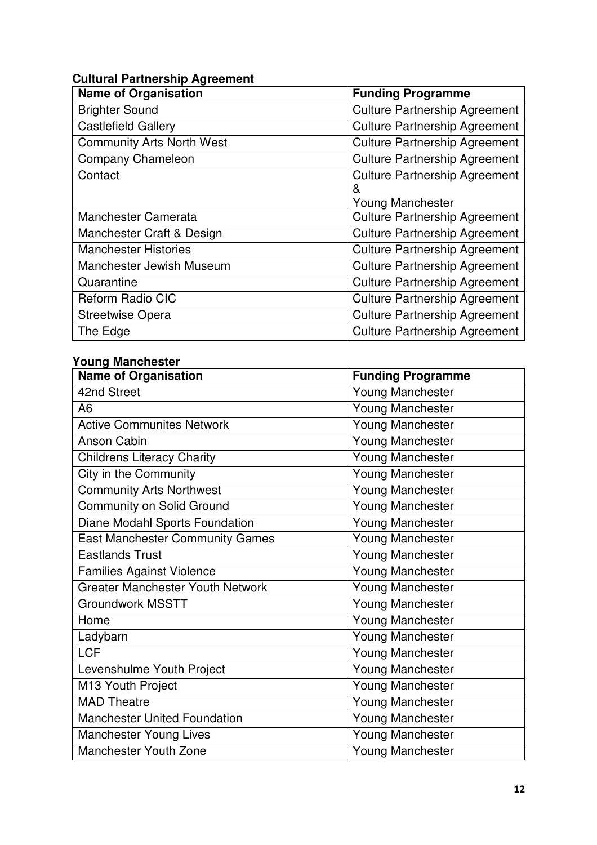# **Cultural Partnership Agreement**

| <b>Name of Organisation</b>      | <b>Funding Programme</b>             |
|----------------------------------|--------------------------------------|
| <b>Brighter Sound</b>            | <b>Culture Partnership Agreement</b> |
| <b>Castlefield Gallery</b>       | <b>Culture Partnership Agreement</b> |
| <b>Community Arts North West</b> | <b>Culture Partnership Agreement</b> |
| Company Chameleon                | <b>Culture Partnership Agreement</b> |
| Contact                          | <b>Culture Partnership Agreement</b> |
|                                  | &                                    |
|                                  | <b>Young Manchester</b>              |
| <b>Manchester Camerata</b>       | <b>Culture Partnership Agreement</b> |
| Manchester Craft & Design        | <b>Culture Partnership Agreement</b> |
| <b>Manchester Histories</b>      | <b>Culture Partnership Agreement</b> |
| Manchester Jewish Museum         | <b>Culture Partnership Agreement</b> |
| Quarantine                       | <b>Culture Partnership Agreement</b> |
| Reform Radio CIC                 | <b>Culture Partnership Agreement</b> |
| <b>Streetwise Opera</b>          | <b>Culture Partnership Agreement</b> |
| The Edge                         | <b>Culture Partnership Agreement</b> |

# **Young Manchester**

| <b>Name of Organisation</b>             | <b>Funding Programme</b> |
|-----------------------------------------|--------------------------|
| 42nd Street                             | <b>Young Manchester</b>  |
| A <sub>6</sub>                          | <b>Young Manchester</b>  |
| <b>Active Communites Network</b>        | Young Manchester         |
| <b>Anson Cabin</b>                      | <b>Young Manchester</b>  |
| <b>Childrens Literacy Charity</b>       | <b>Young Manchester</b>  |
| City in the Community                   | <b>Young Manchester</b>  |
| <b>Community Arts Northwest</b>         | <b>Young Manchester</b>  |
| Community on Solid Ground               | <b>Young Manchester</b>  |
| Diane Modahl Sports Foundation          | <b>Young Manchester</b>  |
| <b>East Manchester Community Games</b>  | <b>Young Manchester</b>  |
| <b>Eastlands Trust</b>                  | <b>Young Manchester</b>  |
| <b>Families Against Violence</b>        | <b>Young Manchester</b>  |
| <b>Greater Manchester Youth Network</b> | <b>Young Manchester</b>  |
| <b>Groundwork MSSTT</b>                 | <b>Young Manchester</b>  |
| Home                                    | <b>Young Manchester</b>  |
| Ladybarn                                | <b>Young Manchester</b>  |
| <b>LCF</b>                              | <b>Young Manchester</b>  |
| Levenshulme Youth Project               | <b>Young Manchester</b>  |
| M13 Youth Project                       | <b>Young Manchester</b>  |
| <b>MAD Theatre</b>                      | <b>Young Manchester</b>  |
| <b>Manchester United Foundation</b>     | <b>Young Manchester</b>  |
| <b>Manchester Young Lives</b>           | <b>Young Manchester</b>  |
| Manchester Youth Zone                   | <b>Young Manchester</b>  |